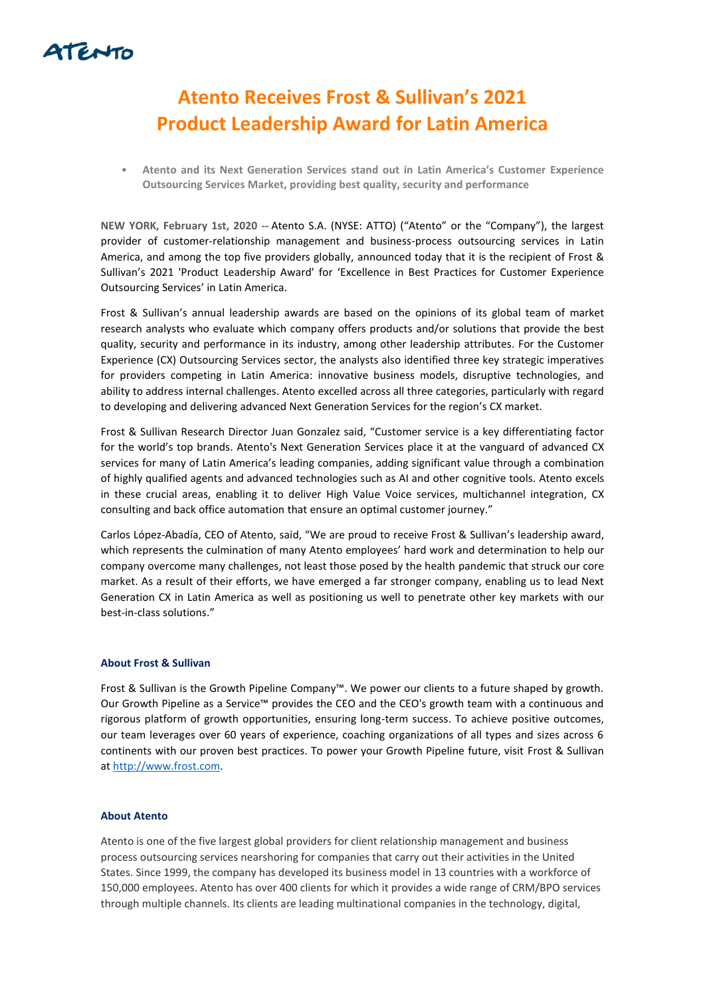

## **Atento Receives Frost & Sullivan's 2021 Product Leadership Award for Latin America**

• **Atento and its Next Generation Services stand out in Latin America's Customer Experience Outsourcing Services Market, providing best quality, security and performance** 

**NEW YORK, February 1st, 2020 --** Atento S.A. (NYSE: ATTO) ("Atento" or the "Company"), the largest provider of customer-relationship management and business-process outsourcing services in Latin America, and among the top five providers globally, announced today that it is the recipient of Frost & Sullivan's 2021 'Product Leadership Award' for 'Excellence in Best Practices for Customer Experience Outsourcing Services' in Latin America.

Frost & Sullivan's annual leadership awards are based on the opinions of its global team of market research analysts who evaluate which company offers products and/or solutions that provide the best quality, security and performance in its industry, among other leadership attributes. For the Customer Experience (CX) Outsourcing Services sector, the analysts also identified three key strategic imperatives for providers competing in Latin America: innovative business models, disruptive technologies, and ability to address internal challenges. Atento excelled across all three categories, particularly with regard to developing and delivering advanced Next Generation Services for the region's CX market.

Frost & Sullivan Research Director Juan Gonzalez said, "Customer service is a key differentiating factor for the world's top brands. Atento's Next Generation Services place it at the vanguard of advanced CX services for many of Latin America's leading companies, adding significant value through a combination of highly qualified agents and advanced technologies such as AI and other cognitive tools. Atento excels in these crucial areas, enabling it to deliver High Value Voice services, multichannel integration, CX consulting and back office automation that ensure an optimal customer journey."

Carlos López-Abadía, CEO of Atento, said, "We are proud to receive Frost & Sullivan's leadership award, which represents the culmination of many Atento employees' hard work and determination to help our company overcome many challenges, not least those posed by the health pandemic that struck our core market. As a result of their efforts, we have emerged a far stronger company, enabling us to lead Next Generation CX in Latin America as well as positioning us well to penetrate other key markets with our best-in-class solutions."

## **About Frost & Sullivan**

Frost & Sullivan is the Growth Pipeline Company™. We power our clients to a future shaped by growth. Our Growth Pipeline as a Service™ provides the CEO and the CEO's growth team with a continuous and rigorous platform of growth opportunities, ensuring long-term success. To achieve positive outcomes, our team leverages over 60 years of experience, coaching organizations of all types and sizes across 6 continents with our proven best practices. To power your Growth Pipeline future, visit Frost & Sullivan a[t http://www.frost.com.](http://www.frost.com/)

## **About Atento**

Atento is one of the five largest global providers for client relationship management and business process outsourcing services nearshoring for companies that carry out their activities in the United States. Since 1999, the company has developed its business model in 13 countries with a workforce of 150,000 employees. Atento has over 400 clients for which it provides a wide range of CRM/BPO services through multiple channels. Its clients are leading multinational companies in the technology, digital,